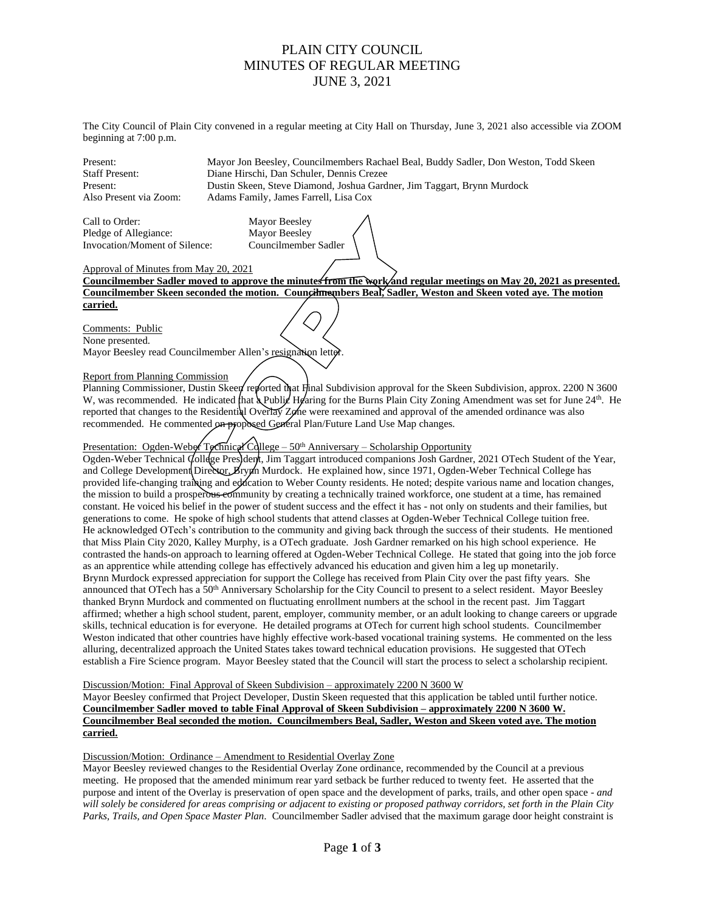## PLAIN CITY COUNCIL MINUTES OF REGULAR MEETING JUNE 3, 2021

The City Council of Plain City convened in a regular meeting at City Hall on Thursday, June 3, 2021 also accessible via ZOOM beginning at 7:00 p.m.

Present: Mayor Jon Beesley, Councilmembers Rachael Beal, Buddy Sadler, Don Weston, Todd Skeen Diane Hirschi, Dan Schuler, Dennis Crezee Present: Dustin Skeen, Steve Diamond, Joshua Gardner, Jim Taggart, Brynn Murdock Also Present via Zoom: Adams Family, James Farrell, Lisa Cox

Call to Order: Mayor Beesley<br>
Pledge of Allegiance: Mayor Beesley Pledge of Allegiance: Invocation/Moment of Silence: Councilmember Sadler

Approval of Minutes from May 20, 2021

**Councilmember Sadler moved to approve the minutes from the work and regular meetings on May 20, 2021 as presented. Councilmember Skeen seconded the motion. Councilmembers Beal, Sadler, Weston and Skeen voted aye. The motion carried.**

Comments: Public None presented. Mayor Beesley read Councilmember Allen's resignation lett

## Report from Planning Commission

Planning Commissioner, Dustin Skeen reported that Final Subdivision approval for the Skeen Subdivision, approx. 2200 N 3600 W, was recommended. He indicated that  $\lambda$  Public Hearing for the Burns Plain City Zoning Amendment was set for June 24<sup>th</sup>. He reported that changes to the Residential Overlay Zone were reexamined and approval of the amended ordinance was also recommended. He commented on proposed General Plan/Future Land Use Map changes.

## Presentation: Ogden-Weber Technical College – 50<sup>th</sup> Anniversary – Scholarship Opportunity

Ogden-Weber Technical College Presjdent, Jim Taggart introduced companions Josh Gardner, 2021 OTech Student of the Year, and College Development Director, Brynn Murdock. He explained how, since 1971, Ogden-Weber Technical College has provided life-changing training and education to Weber County residents. He noted; despite various name and location changes, the mission to build a prosperous community by creating a technically trained workforce, one student at a time, has remained constant. He voiced his belief in the power of student success and the effect it has - not only on students and their families, but generations to come. He spoke of high school students that attend classes at Ogden-Weber Technical College tuition free. He acknowledged OTech's contribution to the community and giving back through the success of their students. He mentioned that Miss Plain City 2020, Kalley Murphy, is a OTech graduate. Josh Gardner remarked on his high school experience. He contrasted the hands-on approach to learning offered at Ogden-Weber Technical College. He stated that going into the job force as an apprentice while attending college has effectively advanced his education and given him a leg up monetarily. Brynn Murdock expressed appreciation for support the College has received from Plain City over the past fifty years. She announced that OTech has a 50th Anniversary Scholarship for the City Council to present to a select resident. Mayor Beesley thanked Brynn Murdock and commented on fluctuating enrollment numbers at the school in the recent past. Jim Taggart affirmed; whether a high school student, parent, employer, community member, or an adult looking to change careers or upgrade skills, technical education is for everyone. He detailed programs at OTech for current high school students. Councilmember Weston indicated that other countries have highly effective work-based vocational training systems. He commented on the less alluring, decentralized approach the United States takes toward technical education provisions. He suggested that OTech establish a Fire Science program. Mayor Beesley stated that the Council will start the process to select a scholarship recipient.

Discussion/Motion: Final Approval of Skeen Subdivision – approximately 2200 N 3600 W

Mayor Beesley confirmed that Project Developer, Dustin Skeen requested that this application be tabled until further notice. **Councilmember Sadler moved to table Final Approval of Skeen Subdivision – approximately 2200 N 3600 W. Councilmember Beal seconded the motion. Councilmembers Beal, Sadler, Weston and Skeen voted aye. The motion carried.**

## Discussion/Motion: Ordinance – Amendment to Residential Overlay Zone

Mayor Beesley reviewed changes to the Residential Overlay Zone ordinance, recommended by the Council at a previous meeting. He proposed that the amended minimum rear yard setback be further reduced to twenty feet. He asserted that the purpose and intent of the Overlay is preservation of open space and the development of parks, trails, and other open space - *and will solely be considered for areas comprising or adjacent to existing or proposed pathway corridors, set forth in the Plain City Parks, Trails, and Open Space Master Plan.* Councilmember Sadler advised that the maximum garage door height constraint is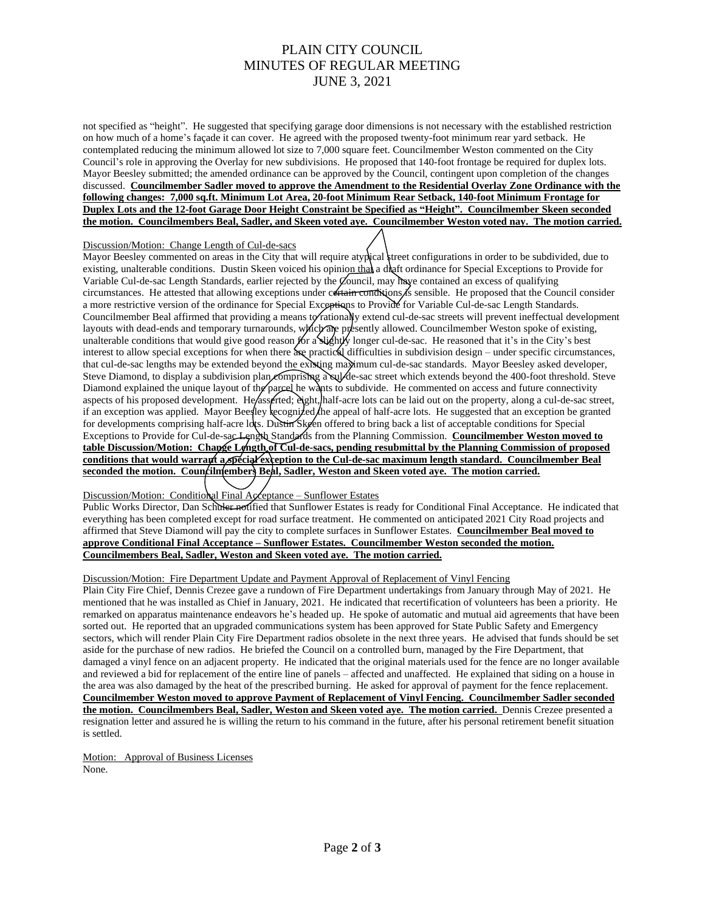# PLAIN CITY COUNCIL MINUTES OF REGULAR MEETING JUNE 3, 2021

not specified as "height". He suggested that specifying garage door dimensions is not necessary with the established restriction on how much of a home's façade it can cover. He agreed with the proposed twenty-foot minimum rear yard setback. He contemplated reducing the minimum allowed lot size to 7,000 square feet. Councilmember Weston commented on the City Council's role in approving the Overlay for new subdivisions. He proposed that 140-foot frontage be required for duplex lots. Mayor Beesley submitted; the amended ordinance can be approved by the Council, contingent upon completion of the changes discussed. **Councilmember Sadler moved to approve the Amendment to the Residential Overlay Zone Ordinance with the following changes: 7,000 sq.ft. Minimum Lot Area, 20-foot Minimum Rear Setback, 140-foot Minimum Frontage for Duplex Lots and the 12-foot Garage Door Height Constraint be Specified as "Height". Councilmember Skeen seconded the motion. Councilmembers Beal, Sadler, and Skeen voted aye. Councilmember Weston voted nay. The motion carried.**

#### Discussion/Motion: Change Length of Cul-de-sacs

Mayor Beesley commented on areas in the City that will require atypical street configurations in order to be subdivided, due to existing, unalterable conditions. Dustin Skeen voiced his opinion that a draft ordinance for Special Exceptions to Provide for Variable Cul-de-sac Length Standards, earlier rejected by the Council, may have contained an excess of qualifying circumstances. He attested that allowing exceptions under certain conditions is sensible. He proposed that the Council consider a more restrictive version of the ordinance for Special Exceptions to Provide for Variable Cul-de-sac Length Standards. Councilmember Beal affirmed that providing a means to rationally extend cul-de-sac streets will prevent ineffectual development layouts with dead-ends and temporary turnarounds, which are presently allowed. Councilmember Weston spoke of existing, unalterable conditions that would give good reason  $f$ or a slightly longer cul-de-sac. He reasoned that it's in the City's best interest to allow special exceptions for when there are practical difficulties in subdivision design – under specific circumstances, that cul-de-sac lengths may be extended beyond the existing maximum cul-de-sac standards. Mayor Beesley asked developer, Steve Diamond, to display a subdivision plan comprising a sull-de-sac street which extends beyond the 400-foot threshold. Steve Diamond explained the unique layout of the parcel he wants to subdivide. He commented on access and future connectivity aspects of his proposed development. He/asserted; eight, half-acre lots can be laid out on the property, along a cul-de-sac street, if an exception was applied. Mayor Beesley recognized the appeal of half-acre lots. He suggested that an exception be granted for developments comprising half-acre lots. Dustin Skeen offered to bring back a list of acceptable conditions for Special Exceptions to Provide for Cul-de-sac Length Standards from the Planning Commission. **Councilmember Weston moved to table Discussion/Motion: Change Length of Cul-de-sacs, pending resubmittal by the Planning Commission of proposed conditions that would warrant a special exception to the Cul-de-sac maximum length standard. Councilmember Beal seconded the motion. Councilmembers Beal, Sadler, Weston and Skeen voted aye. The motion carried.**

## Discussion/Motion: Conditional Final Acceptance – Sunflower Estates

Public Works Director, Dan Schuler notified that Sunflower Estates is ready for Conditional Final Acceptance. He indicated that everything has been completed except for road surface treatment. He commented on anticipated 2021 City Road projects and affirmed that Steve Diamond will pay the city to complete surfaces in Sunflower Estates. **Councilmember Beal moved to approve Conditional Final Acceptance – Sunflower Estates. Councilmember Weston seconded the motion. Councilmembers Beal, Sadler, Weston and Skeen voted aye. The motion carried.**

#### Discussion/Motion: Fire Department Update and Payment Approval of Replacement of Vinyl Fencing

Plain City Fire Chief, Dennis Crezee gave a rundown of Fire Department undertakings from January through May of 2021. He mentioned that he was installed as Chief in January, 2021. He indicated that recertification of volunteers has been a priority. He remarked on apparatus maintenance endeavors he's headed up. He spoke of automatic and mutual aid agreements that have been sorted out. He reported that an upgraded communications system has been approved for State Public Safety and Emergency sectors, which will render Plain City Fire Department radios obsolete in the next three years. He advised that funds should be set aside for the purchase of new radios. He briefed the Council on a controlled burn, managed by the Fire Department, that damaged a vinyl fence on an adjacent property. He indicated that the original materials used for the fence are no longer available and reviewed a bid for replacement of the entire line of panels – affected and unaffected. He explained that siding on a house in the area was also damaged by the heat of the prescribed burning. He asked for approval of payment for the fence replacement. **Councilmember Weston moved to approve Payment of Replacement of Vinyl Fencing. Councilmember Sadler seconded the motion. Councilmembers Beal, Sadler, Weston and Skeen voted aye. The motion carried.** Dennis Crezee presented a resignation letter and assured he is willing the return to his command in the future, after his personal retirement benefit situation is settled.

Motion: Approval of Business Licenses None.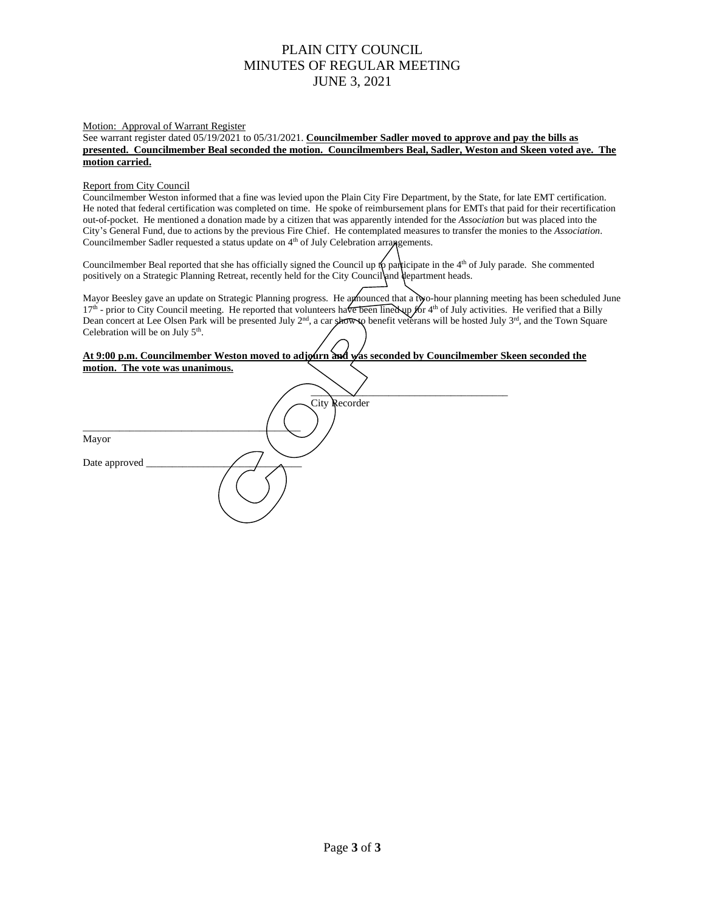# PLAIN CITY COUNCIL MINUTES OF REGULAR MEETING JUNE 3, 2021

#### Motion: Approval of Warrant Register

See warrant register dated 05/19/2021 to 05/31/2021. **Councilmember Sadler moved to approve and pay the bills as presented. Councilmember Beal seconded the motion. Councilmembers Beal, Sadler, Weston and Skeen voted aye. The motion carried.**

#### Report from City Council

Councilmember Weston informed that a fine was levied upon the Plain City Fire Department, by the State, for late EMT certification. He noted that federal certification was completed on time. He spoke of reimbursement plans for EMTs that paid for their recertification out-of-pocket. He mentioned a donation made by a citizen that was apparently intended for the *Association* but was placed into the City's General Fund, due to actions by the previous Fire Chief. He contemplated measures to transfer the monies to the *Association*. Councilmember Sadler requested a status update on 4<sup>th</sup> of July Celebration arrangements.

Councilmember Beal reported that she has officially signed the Council up to participate in the  $4<sup>th</sup>$  of July parade. She commented positively on a Strategic Planning Retreat, recently held for the City Council and department heads.

Mayor Beesley gave an update on Strategic Planning progress. He announced that a tyo-hour planning meeting has been scheduled June  $17<sup>th</sup>$  - prior to City Council meeting. He reported that volunteers have been lined up for 4<sup>th</sup> of July activities. He verified that a Billy Dean concert at Lee Olsen Park will be presented July  $2^{nd}$ , a car show to benefit veterans will be hosted July  $3^{rd}$ , and the Town Square Celebration will be on July  $5<sup>th</sup>$ .

## **At 9:00 p.m. Councilmember Weston moved to adjourn and was seconded by Councilmember Skeen seconded the motion. The vote was unanimous.**

| <u>motion. The vote was unaminous.</u> |               |  |
|----------------------------------------|---------------|--|
|                                        |               |  |
|                                        | City Recorder |  |
|                                        |               |  |
| Mayor                                  |               |  |
| Date approved _                        |               |  |
|                                        |               |  |
|                                        |               |  |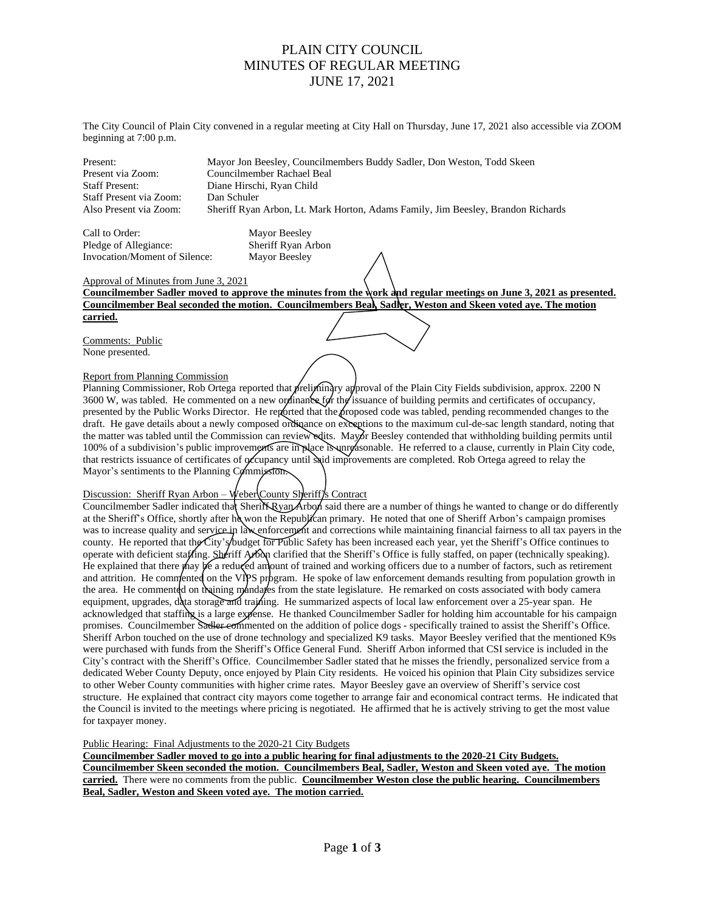## PLAIN CITY COUNCIL MINUTES OF REGULAR MEETING JUNE 17, 2021

The City Council of Plain City convened in a regular meeting at City Hall on Thursday, June 17, 2021 also accessible via ZOOM beginning at 7:00 p.m.

Present: Mayor Jon Beesley, Councilmembers Buddy Sadler, Don Weston, Todd Skeen Present via Zoom: Councilmember Rachael Beal Staff Present: Diane Hirschi, Ryan Child Staff Present via Zoom: Dan Schuler Also Present via Zoom: Sheriff Ryan Arbon, Lt. Mark Horton, Adams Family, Jim Beesley, Brandon Richards

Call to Order: Mayor Beesley Pledge of Allegiance: Sheriff Ryan Arbon Invocation/Moment of Silence: Mayor Beesley

## Approval of Minutes from June 3, 2021

**Councilmember Sadler moved to approve the minutes from the work and regular meetings on June 3, 2021 as presented. Councilmember Beal seconded the motion. Councilmembers Beal, Sadler, Weston and Skeen voted aye. The motion carried.**

Comments: Public None presented.

## Report from Planning Commission

Planning Commissioner, Rob Ortega reported that preliminary approval of the Plain City Fields subdivision, approx. 2200 N 3600 W, was tabled. He commented on a new ordinance for the issuance of building permits and certificates of occupancy, presented by the Public Works Director. He reported that the proposed code was tabled, pending recommended changes to the draft. He gave details about a newly composed ordinance on exceptions to the maximum cul-de-sac length standard, noting that the matter was tabled until the Commission can review edits. Mayor Beesley contended that withholding building permits until 100% of a subdivision's public improvements are in place is unreasonable. He referred to a clause, currently in Plain City code, that restricts issuance of certificates of occupancy until said improvements are completed. Rob Ortega agreed to relay the Mayor's sentiments to the Planning Commission.

## Discussion: Sheriff Ryan Arbon – Weber County Sheriff's Contract

Councilmember Sadler indicated that Sheriff Ryan Arbon said there are a number of things he wanted to change or do differently at the Sheriff's Office, shortly after he won the Republican primary. He noted that one of Sheriff Arbon's campaign promises was to increase quality and service in law enforcement and corrections while maintaining financial fairness to all tax payers in the county. He reported that the City's budget for Public Safety has been increased each year, yet the Sheriff's Office continues to operate with deficient staffing. Sheriff Arbon clarified that the Sheriff's Office is fully staffed, on paper (technically speaking). He explained that there may  $\cancel{\psi}$  a reduced amount of trained and working officers due to a number of factors, such as retirement and attrition. He commented on the VIPS program. He spoke of law enforcement demands resulting from population growth in the area. He commented on training mandates from the state legislature. He remarked on costs associated with body camera equipment, upgrades, data storage and trajning. He summarized aspects of local law enforcement over a 25-year span. He acknowledged that staffing is a large expense. He thanked Councilmember Sadler for holding him accountable for his campaign promises. Councilmember Sadler commented on the addition of police dogs - specifically trained to assist the Sheriff's Office. Sheriff Arbon touched on the use of drone technology and specialized K9 tasks. Mayor Beesley verified that the mentioned K9s were purchased with funds from the Sheriff's Office General Fund. Sheriff Arbon informed that CSI service is included in the City's contract with the Sheriff's Office. Councilmember Sadler stated that he misses the friendly, personalized service from a dedicated Weber County Deputy, once enjoyed by Plain City residents. He voiced his opinion that Plain City subsidizes service to other Weber County communities with higher crime rates. Mayor Beesley gave an overview of Sheriff's service cost structure. He explained that contract city mayors come together to arrange fair and economical contract terms. He indicated that the Council is invited to the meetings where pricing is negotiated. He affirmed that he is actively striving to get the most value for taxpayer money.

Public Hearing: Final Adjustments to the 2020-21 City Budgets

**Councilmember Sadler moved to go into a public hearing for final adjustments to the 2020-21 City Budgets. Councilmember Skeen seconded the motion. Councilmembers Beal, Sadler, Weston and Skeen voted aye. The motion carried.** There were no comments from the public. **Councilmember Weston close the public hearing. Councilmembers Beal, Sadler, Weston and Skeen voted aye. The motion carried.**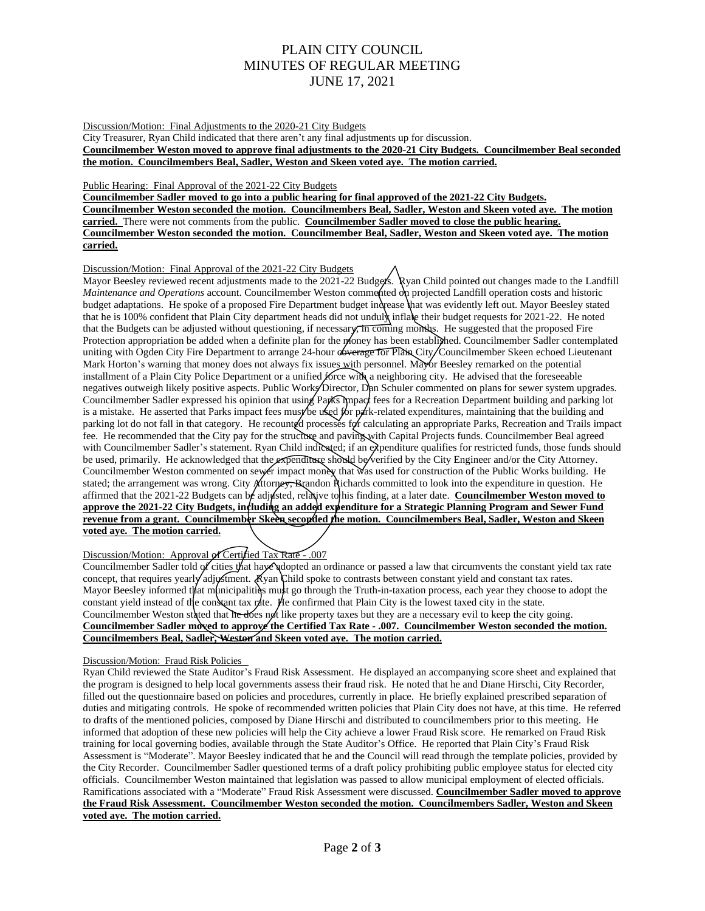# PLAIN CITY COUNCIL MINUTES OF REGULAR MEETING JUNE 17, 2021

Discussion/Motion: Final Adjustments to the 2020-21 City Budgets

City Treasurer, Ryan Child indicated that there aren't any final adjustments up for discussion. **Councilmember Weston moved to approve final adjustments to the 2020-21 City Budgets. Councilmember Beal seconded the motion. Councilmembers Beal, Sadler, Weston and Skeen voted aye. The motion carried.**

## Public Hearing: Final Approval of the 2021-22 City Budgets

**Councilmember Sadler moved to go into a public hearing for final approved of the 2021-22 City Budgets. Councilmember Weston seconded the motion. Councilmembers Beal, Sadler, Weston and Skeen voted aye. The motion carried.** There were not comments from the public. **Councilmember Sadler moved to close the public hearing. Councilmember Weston seconded the motion. Councilmember Beal, Sadler, Weston and Skeen voted aye. The motion carried.**

## Discussion/Motion: Final Approval of the 2021-22 City Budgets

Mayor Beesley reviewed recent adjustments made to the 2021-22 Budgets. Ryan Child pointed out changes made to the Landfill *Maintenance and Operations* account. Councilmember Weston commented on projected Landfill operation costs and historic budget adaptations. He spoke of a proposed Fire Department budget increase that was evidently left out. Mayor Beesley stated that he is 100% confident that Plain City department heads did not unduly inflate their budget requests for 2021-22. He noted that the Budgets can be adjusted without questioning, if necessary, in coming months. He suggested that the proposed Fire Protection appropriation be added when a definite plan for the money has been established. Councilmember Sadler contemplated uniting with Ogden City Fire Department to arrange 24-hour coverage for Plain City/Councilmember Skeen echoed Lieutenant Mark Horton's warning that money does not always fix issues with personnel. Mayor Beesley remarked on the potential installment of a Plain City Police Department or a unified force with a neighboring city. He advised that the foreseeable negatives outweigh likely positive aspects. Public Works Director, Dan Schuler commented on plans for sewer system upgrades. Councilmember Sadler expressed his opinion that using Parks impact fees for a Recreation Department building and parking lot is a mistake. He asserted that Parks impact fees must be used for park-related expenditures, maintaining that the building and parking lot do not fall in that category. He recounted processes for calculating an appropriate Parks, Recreation and Trails impact fee. He recommended that the City pay for the structure and paving with Capital Projects funds. Councilmember Beal agreed with Councilmember Sadler's statement. Ryan Child indicated; if an expenditure qualifies for restricted funds, those funds should be used, primarily. He acknowledged that the expenditure should be verified by the City Engineer and/or the City Attorney. Councilmember Weston commented on sewer impact money that was used for construction of the Public Works building. He stated; the arrangement was wrong. City Attorney, Brandon Richards committed to look into the expenditure in question. He affirmed that the 2021-22 Budgets can be adjusted, relative to his finding, at a later date. **Councilmember Weston moved to approve the 2021-22 City Budgets, including an added expenditure for a Strategic Planning Program and Sewer Fund revenue from a grant. Councilmember Skeen seconded the motion. Councilmembers Beal, Sadler, Weston and Skeen voted aye. The motion carried.** 

## Discussion/Motion: Approval of Certified Tax Rate - .007

Councilmember Sadler told of cities that haye adopted an ordinance or passed a law that circumvents the constant yield tax rate concept, that requires yearly adjustment. Ryan Child spoke to contrasts between constant yield and constant tax rates. Mayor Beesley informed that municipalities must go through the Truth-in-taxation process, each year they choose to adopt the constant yield instead of the constant tax rate. He confirmed that Plain City is the lowest taxed city in the state. Councilmember Weston stated that he does not like property taxes but they are a necessary evil to keep the city going. **Councilmember Sadler moved to approve the Certified Tax Rate - .007. Councilmember Weston seconded the motion. Councilmembers Beal, Sadler, Weston and Skeen voted aye. The motion carried.** 

## Discussion/Motion: Fraud Risk Policies

Ryan Child reviewed the State Auditor's Fraud Risk Assessment. He displayed an accompanying score sheet and explained that the program is designed to help local governments assess their fraud risk. He noted that he and Diane Hirschi, City Recorder, filled out the questionnaire based on policies and procedures, currently in place. He briefly explained prescribed separation of duties and mitigating controls. He spoke of recommended written policies that Plain City does not have, at this time. He referred to drafts of the mentioned policies, composed by Diane Hirschi and distributed to councilmembers prior to this meeting. He informed that adoption of these new policies will help the City achieve a lower Fraud Risk score. He remarked on Fraud Risk training for local governing bodies, available through the State Auditor's Office. He reported that Plain City's Fraud Risk Assessment is "Moderate". Mayor Beesley indicated that he and the Council will read through the template policies, provided by the City Recorder. Councilmember Sadler questioned terms of a draft policy prohibiting public employee status for elected city officials. Councilmember Weston maintained that legislation was passed to allow municipal employment of elected officials. Ramifications associated with a "Moderate" Fraud Risk Assessment were discussed. **Councilmember Sadler moved to approve the Fraud Risk Assessment. Councilmember Weston seconded the motion. Councilmembers Sadler, Weston and Skeen voted aye. The motion carried.**